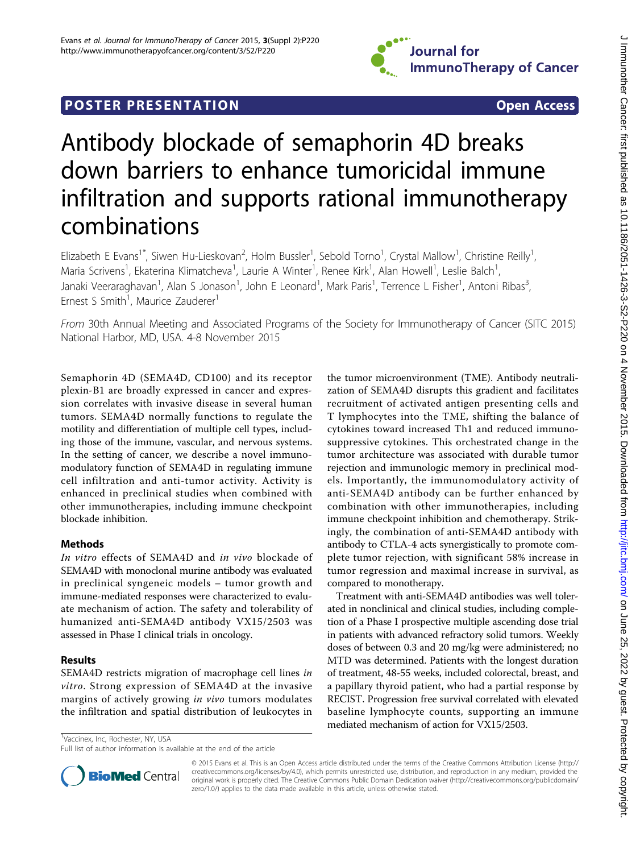

# **POSTER PRESENTATION CONSUMING THE SERVICE SERVICE SERVICES**

# Antibody blockade of semaphorin 4D breaks down barriers to enhance tumoricidal immune infiltration and supports rational immunotherapy combinations

Elizabeth E Evans<sup>1\*</sup>, Siwen Hu-Lieskovan<sup>2</sup>, Holm Bussler<sup>1</sup>, Sebold Torno<sup>1</sup>, Crystal Mallow<sup>1</sup>, Christine Reilly<sup>1</sup> , Maria Scrivens<sup>1</sup>, Ekaterina Klimatcheva<sup>1</sup>, Laurie A Winter<sup>1</sup>, Renee Kirk<sup>1</sup>, Alan Howell<sup>1</sup>, Leslie Balch<sup>1</sup> , Janaki Veeraraghavan<sup>1</sup>, Alan S Jonason<sup>1</sup>, John E Leonard<sup>1</sup>, Mark Paris<sup>1</sup>, Terrence L Fisher<sup>1</sup>, Antoni Ribas<sup>3</sup> , Ernest S Smith<sup>1</sup>, Maurice Zauderer<sup>1</sup>

From 30th Annual Meeting and Associated Programs of the Society for Immunotherapy of Cancer (SITC 2015) National Harbor, MD, USA. 4-8 November 2015

Semaphorin 4D (SEMA4D, CD100) and its receptor plexin-B1 are broadly expressed in cancer and expression correlates with invasive disease in several human tumors. SEMA4D normally functions to regulate the motility and differentiation of multiple cell types, including those of the immune, vascular, and nervous systems. In the setting of cancer, we describe a novel immunomodulatory function of SEMA4D in regulating immune cell infiltration and anti-tumor activity. Activity is enhanced in preclinical studies when combined with other immunotherapies, including immune checkpoint blockade inhibition.

## Methods

In vitro effects of SEMA4D and in vivo blockade of SEMA4D with monoclonal murine antibody was evaluated in preclinical syngeneic models – tumor growth and immune-mediated responses were characterized to evaluate mechanism of action. The safety and tolerability of humanized anti-SEMA4D antibody VX15/2503 was assessed in Phase I clinical trials in oncology.

## Results

SEMA4D restricts migration of macrophage cell lines in vitro. Strong expression of SEMA4D at the invasive margins of actively growing in vivo tumors modulates the infiltration and spatial distribution of leukocytes in

the tumor microenvironment (TME). Antibody neutralization of SEMA4D disrupts this gradient and facilitates recruitment of activated antigen presenting cells and T lymphocytes into the TME, shifting the balance of cytokines toward increased Th1 and reduced immunosuppressive cytokines. This orchestrated change in the tumor architecture was associated with durable tumor rejection and immunologic memory in preclinical models. Importantly, the immunomodulatory activity of anti-SEMA4D antibody can be further enhanced by combination with other immunotherapies, including immune checkpoint inhibition and chemotherapy. Strikingly, the combination of anti-SEMA4D antibody with antibody to CTLA-4 acts synergistically to promote complete tumor rejection, with significant 58% increase in tumor regression and maximal increase in survival, as compared to monotherapy.

Treatment with anti-SEMA4D antibodies was well tolerated in nonclinical and clinical studies, including completion of a Phase I prospective multiple ascending dose trial in patients with advanced refractory solid tumors. Weekly doses of between 0.3 and 20 mg/kg were administered; no MTD was determined. Patients with the longest duration of treatment, 48-55 weeks, included colorectal, breast, and a papillary thyroid patient, who had a partial response by RECIST. Progression free survival correlated with elevated baseline lymphocyte counts, supporting an immune mediated mechanism of action for VX15/2503.

<sup>1</sup>Vaccinex, Inc, Rochester, NY, USA

Full list of author information is available at the end of the article



© 2015 Evans et al. This is an Open Access article distributed under the terms of the Creative Commons Attribution License [\(http://](http://creativecommons.org/licenses/by/4.0) [creativecommons.org/licenses/by/4.0](http://creativecommons.org/licenses/by/4.0)), which permits unrestricted use, distribution, and reproduction in any medium, provided the original work is properly cited. The Creative Commons Public Domain Dedication waiver ([http://creativecommons.org/publicdomain/](http://creativecommons.org/publicdomain/zero/1.0/) [zero/1.0/](http://creativecommons.org/publicdomain/zero/1.0/)) applies to the data made available in this article, unless otherwise stated.